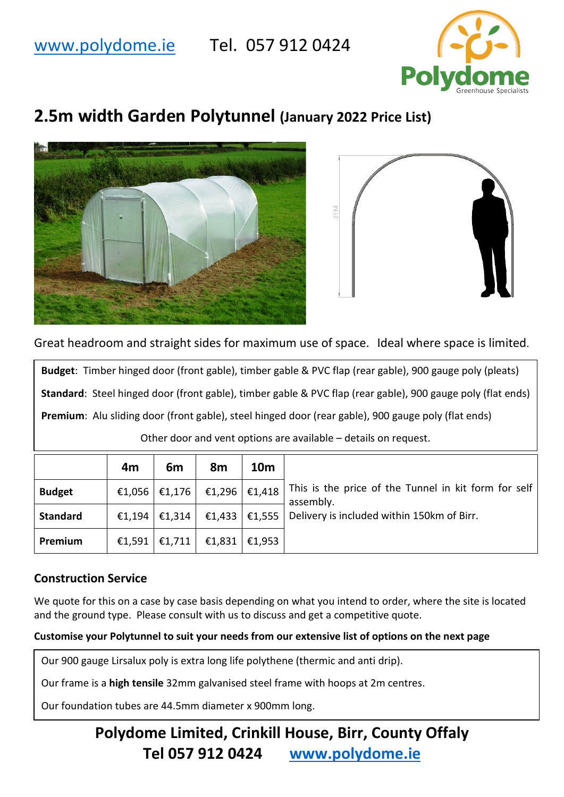### [www.polydome.ie](http://www.polydome.ie/) Tel. 057 912 0424



# **2.5m width Garden Polytunnel (January 2022 Price List)**





Great headroom and straight sides for maximum use of space. Ideal where space is limited.

**Budget**: Timber hinged door (front gable), timber gable & PVC flap (rear gable), 900 gauge poly (pleats) **Standard**: Steel hinged door (front gable), timber gable & PVC flap (rear gable), 900 gauge poly (flat ends) **Premium**: Alu sliding door (front gable), steel hinged door (rear gable), 900 gauge poly (flat ends) Other door and vent options are available – details on request.

|                 | 4m | 6 <sub>m</sub>  | 8m                                | <b>10m</b> |                                                                                |
|-----------------|----|-----------------|-----------------------------------|------------|--------------------------------------------------------------------------------|
| <b>Budget</b>   |    |                 | €1,056   €1,176   €1,296   €1,418 |            | This is the price of the Tunnel in kit form for self<br>assembly.              |
| <b>Standard</b> |    |                 |                                   |            | €1,194   €1,314   €1,433   €1,555   Delivery is included within 150km of Birr. |
| Premium         |    | €1,591   €1,711 | €1,831 $\vert$ €1,953             |            |                                                                                |

### **Construction Service**

We quote for this on a case by case basis depending on what you intend to order, where the site is located and the ground type. Please consult with us to discuss and get a competitive quote.

#### **Customise your Polytunnel to suit your needs from our extensive list of options on the next page**

Our 900 gauge Lirsalux poly is extra long life polythene (thermic and anti drip).

Our frame is a **high tensile** 32mm galvanised steel frame with hoops at 2m centres.

Our foundation tubes are 44.5mm diameter x 900mm long.

## **Polydome Limited, Crinkill House, Birr, County Offaly Tel 057 912 0424 [www.polydome.ie](http://www.polydome.ie/)**